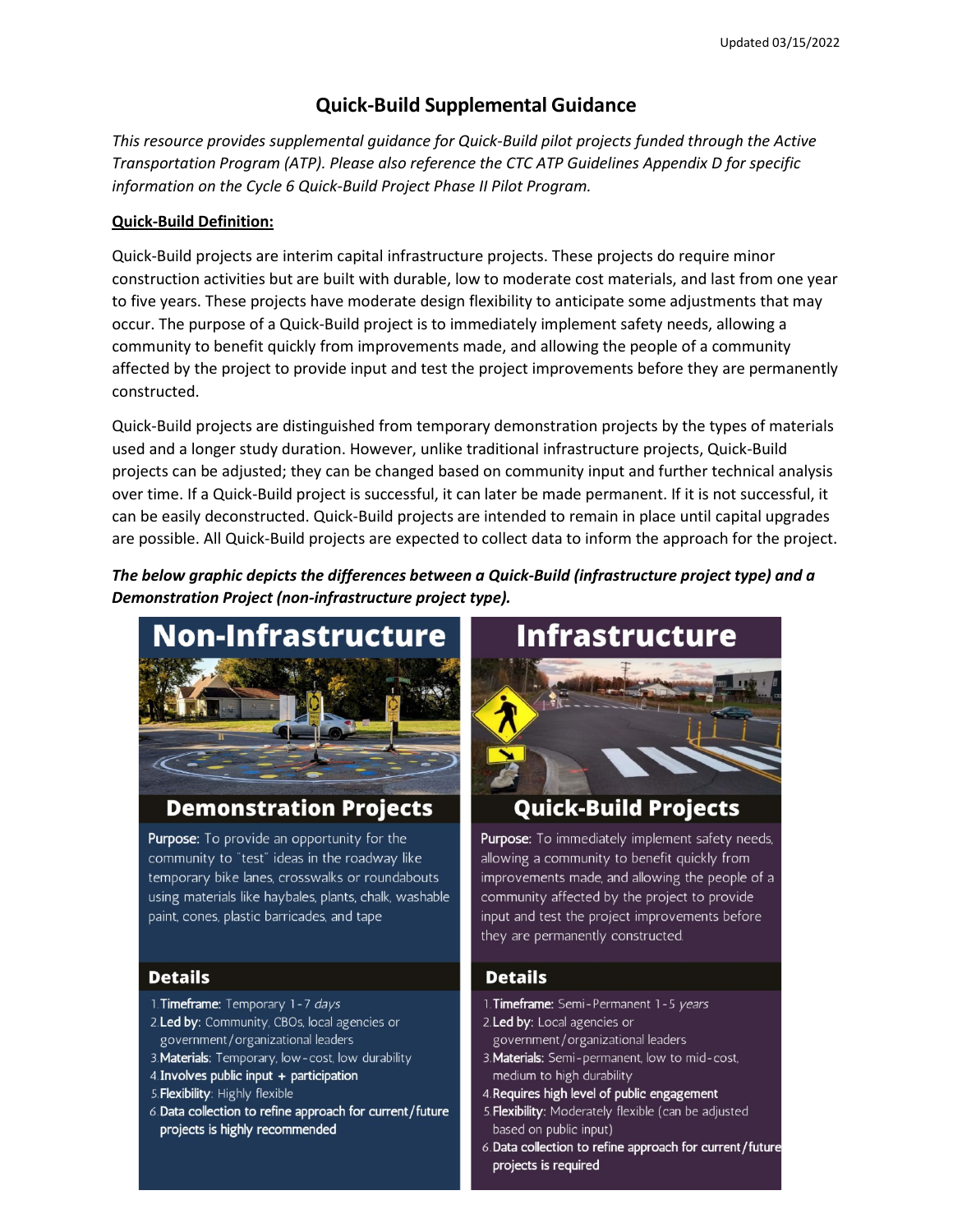# **Quick-Build Supplemental Guidance**

 *Transportation Program (ATP). Please also reference the CTC ATP Guidelines Appendix D for specific information on the Cycle 6 Quick-Build Project Phase II Pilot Program. This resource provides supplemental guidance for Quick-Build pilot projects funded through the Active* 

## **Quick-Build Definition:**

 construction activities but are built with durable, low to moderate cost materials, and last from one year to five years. These projects have moderate design flexibility to anticipate some adjustments that may occur. The purpose of a Quick-Build project is to immediately implement safety needs, allowing a affected by the project to provide input and test the project improvements before they are permanently Quick-Build projects are interim capital infrastructure projects. These projects do require minor community to benefit quickly from improvements made, and allowing the people of a community constructed.

 are possible. All Quick-Build projects are expected to collect data to inform the approach for the project. Quick-Build projects are distinguished from temporary demonstration projects by the types of materials used and a longer study duration. However, unlike traditional infrastructure projects, Quick-Build projects can be adjusted; they can be changed based on community input and further technical analysis over time. If a Quick-Build project is successful, it can later be made permanent. If it is not successful, it can be easily deconstructed. Quick-Build projects are intended to remain in place until capital upgrades

 *The below graphic depicts the differences between a Quick-Build (infrastructure project type) and a Demonstration Project (non-infrastructure project type).* 



# **Demonstration Projects**

Purpose: To provide an opportunity for the community to "test" ideas in the roadway like temporary bike lanes, crosswalks or roundabouts using materials like haybales, plants, chalk, washable paint, cones, plastic barricades, and tape

#### **Details**

- 1. Timeframe: Temporary 1-7 days
- 2. Led by: Community, CBOs, local agencies or government/organizational leaders
- 3. Materials: Temporary, low-cost, low durability
- 4. Involves public input + participation
- 5. Flexibility: Highly flexible
- 6. Data collection to refine approach for current/future projects is highly recommended

# Infrastructure



# **Quick-Build Projects**

Purpose: To immediately implement safety needs, allowing a community to benefit quickly from improvements made, and allowing the people of a community affected by the project to provide input and test the project improvements before they are permanently constructed.

## **Details**

- 1. Timeframe: Semi-Permanent 1-5 years
- 2. Led by: Local agencies or government/organizational leaders
- 3. Materials: Semi-permanent, low to mid-cost, medium to high durability
- 4. Requires high level of public engagement
- 5. Flexibility: Moderately flexible (can be adjusted based on public input)
- 6. Data collection to refine approach for current/future projects is required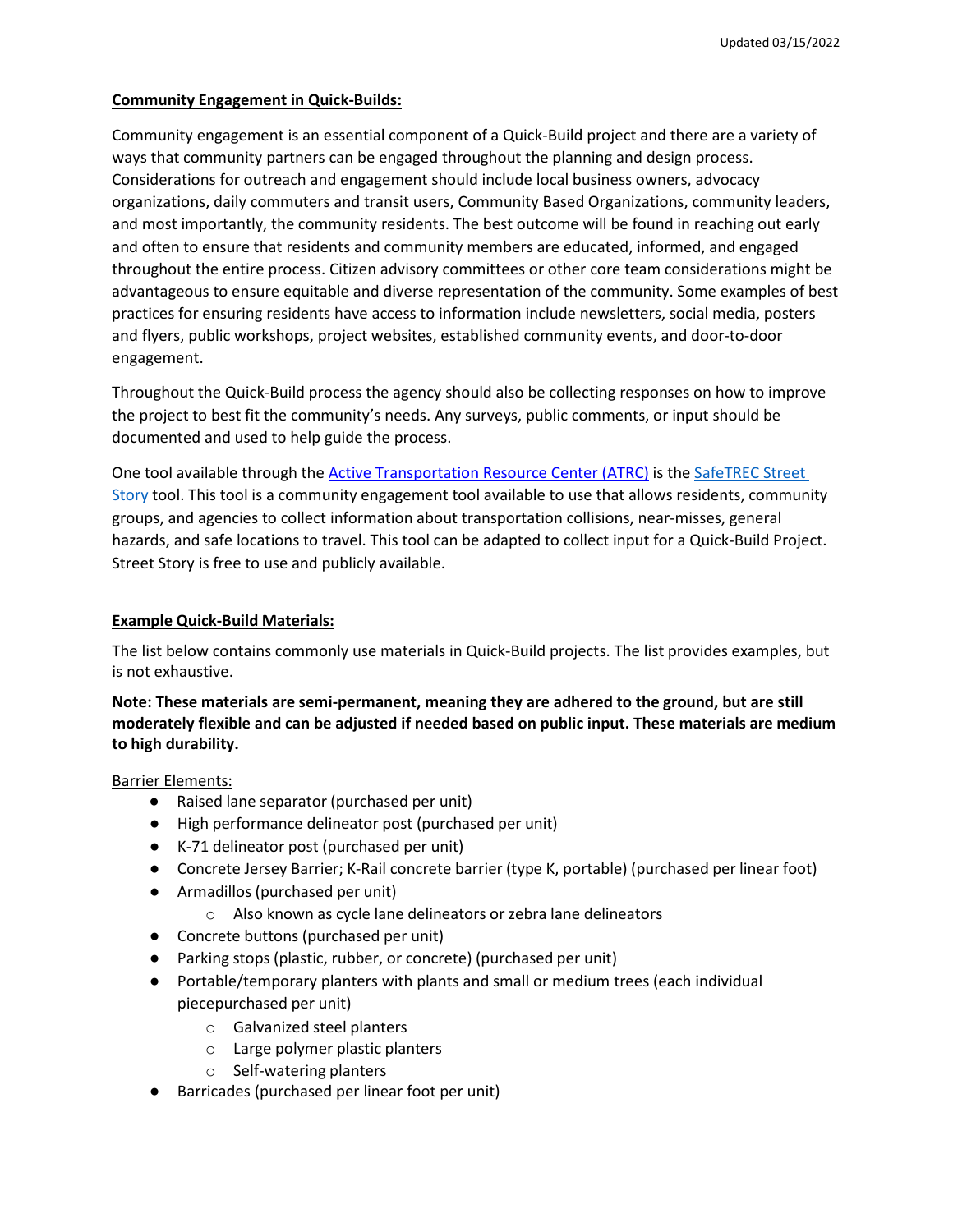#### **Community Engagement in Quick-Builds:**

 Community engagement is an essential component of a Quick-Build project and there are a variety of ways that community partners can be engaged throughout the planning and design process. and most importantly, the community residents. The best outcome will be found in reaching out early and often to ensure that residents and community members are educated, informed, and engaged throughout the entire process. Citizen advisory committees or other core team considerations might be and flyers, public workshops, project websites, established community events, and door-to-door Considerations for outreach and engagement should include local business owners, advocacy organizations, daily commuters and transit users, Community Based Organizations, community leaders, advantageous to ensure equitable and diverse representation of the community. Some examples of best practices for ensuring residents have access to information include newsletters, social media, posters engagement.

 documented and used to help guide the process. Throughout the Quick-Build process the agency should also be collecting responses on how to improve the project to best fit the community's needs. Any surveys, public comments, or input should be

[Story t](https://safetrec.berkeley.edu/tools/street-story-platform-community-engagement)ool. This tool is a community engagement tool available to use that allows residents, community hazards, and safe locations to travel. This tool can be adapted to collect input for a Quick-Build Project. Street Story is free to use and publicly available. One tool available through the [Active Transportation Resource Center \(ATRC\) i](http://caatpresources.org/)s the [SafeTREC Street](https://safetrec.berkeley.edu/tools/street-story-platform-community-engagement)  groups, and agencies to collect information about transportation collisions, near-misses, general

#### **Example Quick-Build Materials:**

 The list below contains commonly use materials in Quick-Build projects. The list provides examples, but is not exhaustive.

## **to high durability. Note: These materials are semi-permanent, meaning they are adhered to the ground, but are still moderately flexible and can be adjusted if needed based on public input. These materials are medium**

Barrier Elements:

- Raised lane separator (purchased per unit)
- High performance delineator post (purchased per unit)
- K-71 delineator post (purchased per unit)
- Concrete Jersey Barrier; K-Rail concrete barrier (type K, portable) (purchased per linear foot)
- ● Armadillos (purchased per unit)
	- $\circ$  Also known as cycle lane delineators or zebra lane delineators
- Concrete buttons (purchased per unit)
- Parking stops (plastic, rubber, or concrete) (purchased per unit)
- piecepurchased per unit) Portable/temporary planters with plants and small or medium trees (each individual
	- o Galvanized steel planters
	- o Large polymer plastic planters
	- o Self-watering planters
- Barricades (purchased per linear foot per unit)